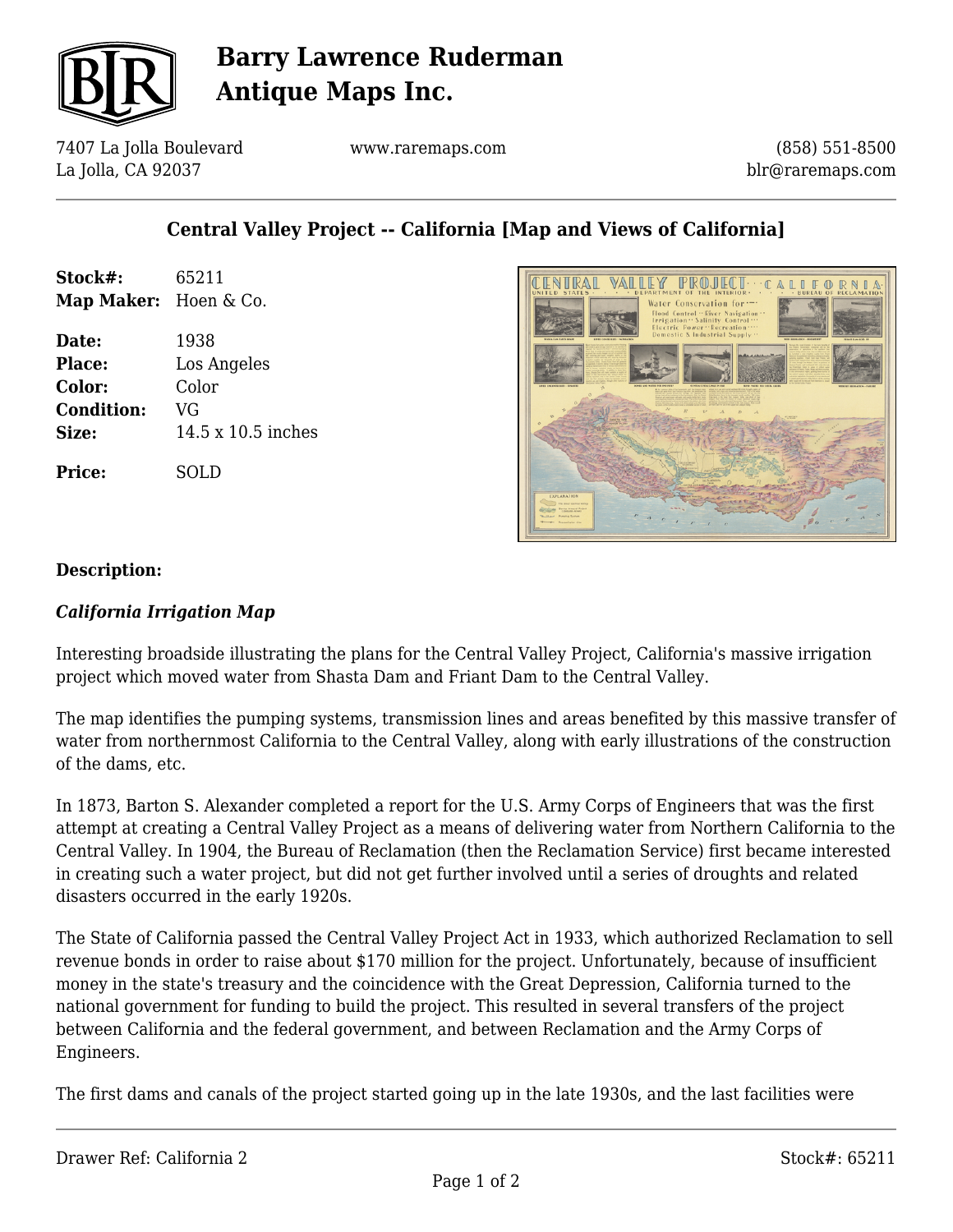

# **Barry Lawrence Ruderman Antique Maps Inc.**

7407 La Jolla Boulevard La Jolla, CA 92037

www.raremaps.com

(858) 551-8500 blr@raremaps.com

### **Central Valley Project -- California [Map and Views of California]**

| Stock#:               | 65211              |
|-----------------------|--------------------|
| Map Maker: Hoen & Co. |                    |
| Date:                 | 1938               |
| Place:                | Los Angeles        |
| Color:                | Color              |
| <b>Condition:</b>     | VG                 |
| Size:                 | 14.5 x 10.5 inches |
| <b>Price:</b>         | SOLD               |



#### **Description:**

#### *California Irrigation Map*

Interesting broadside illustrating the plans for the Central Valley Project, California's massive irrigation project which moved water from Shasta Dam and Friant Dam to the Central Valley.

The map identifies the pumping systems, transmission lines and areas benefited by this massive transfer of water from northernmost California to the Central Valley, along with early illustrations of the construction of the dams, etc.

In 1873, Barton S. Alexander completed a report for the U.S. Army Corps of Engineers that was the first attempt at creating a Central Valley Project as a means of delivering water from Northern California to the Central Valley. In 1904, the Bureau of Reclamation (then the Reclamation Service) first became interested in creating such a water project, but did not get further involved until a series of droughts and related disasters occurred in the early 1920s.

The State of California passed the Central Valley Project Act in 1933, which authorized Reclamation to sell revenue bonds in order to raise about \$170 million for the project. Unfortunately, because of insufficient money in the state's treasury and the coincidence with the Great Depression, California turned to the national government for funding to build the project. This resulted in several transfers of the project between California and the federal government, and between Reclamation and the Army Corps of Engineers.

The first dams and canals of the project started going up in the late 1930s, and the last facilities were